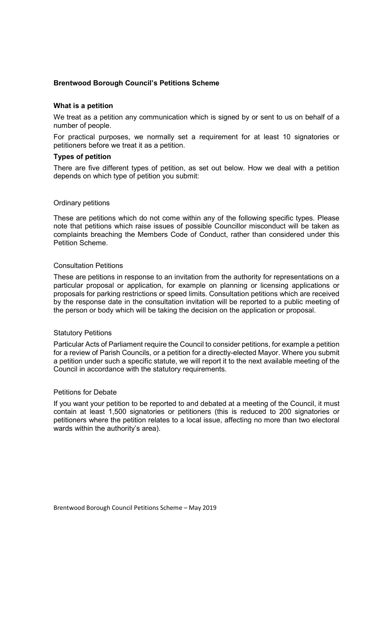# Brentwood Borough Council's Petitions Scheme

### What is a petition

We treat as a petition any communication which is signed by or sent to us on behalf of a number of people.

For practical purposes, we normally set a requirement for at least 10 signatories or petitioners before we treat it as a petition.

### Types of petition

There are five different types of petition, as set out below. How we deal with a petition depends on which type of petition you submit:

### Ordinary petitions

These are petitions which do not come within any of the following specific types. Please note that petitions which raise issues of possible Councillor misconduct will be taken as complaints breaching the Members Code of Conduct, rather than considered under this Petition Scheme.

#### Consultation Petitions

These are petitions in response to an invitation from the authority for representations on a particular proposal or application, for example on planning or licensing applications or proposals for parking restrictions or speed limits. Consultation petitions which are received by the response date in the consultation invitation will be reported to a public meeting of the person or body which will be taking the decision on the application or proposal.

#### Statutory Petitions

Particular Acts of Parliament require the Council to consider petitions, for example a petition for a review of Parish Councils, or a petition for a directly-elected Mayor. Where you submit a petition under such a specific statute, we will report it to the next available meeting of the Council in accordance with the statutory requirements.

#### Petitions for Debate

If you want your petition to be reported to and debated at a meeting of the Council, it must contain at least 1,500 signatories or petitioners (this is reduced to 200 signatories or petitioners where the petition relates to a local issue, affecting no more than two electoral wards within the authority's area).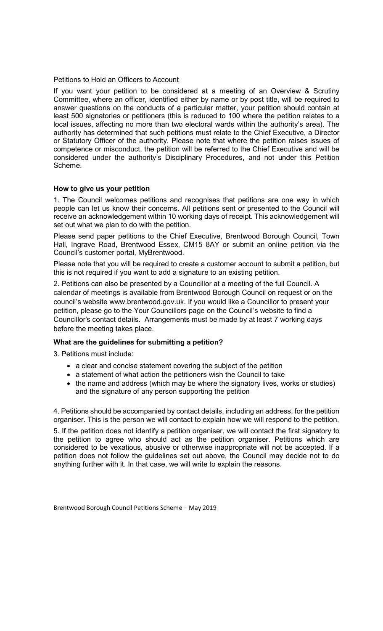### Petitions to Hold an Officers to Account

If you want your petition to be considered at a meeting of an Overview & Scrutiny Committee, where an officer, identified either by name or by post title, will be required to answer questions on the conducts of a particular matter, your petition should contain at least 500 signatories or petitioners (this is reduced to 100 where the petition relates to a local issues, affecting no more than two electoral wards within the authority's area). The authority has determined that such petitions must relate to the Chief Executive, a Director or Statutory Officer of the authority. Please note that where the petition raises issues of competence or misconduct, the petition will be referred to the Chief Executive and will be considered under the authority's Disciplinary Procedures, and not under this Petition Scheme.

# How to give us your petition

1. The Council welcomes petitions and recognises that petitions are one way in which people can let us know their concerns. All petitions sent or presented to the Council will receive an acknowledgement within 10 working days of receipt. This acknowledgement will set out what we plan to do with the petition.

Please send paper petitions to the Chief Executive, Brentwood Borough Council, Town Hall, Ingrave Road, Brentwood Essex, CM15 8AY or submit an online petition via the Council's customer portal, MyBrentwood.

Please note that you will be required to create a customer account to submit a petition, but this is not required if you want to add a signature to an existing petition.

2. Petitions can also be presented by a Councillor at a meeting of the full Council. A calendar of meetings is available from Brentwood Borough Council on request or on the council's website www.brentwood.gov.uk. If you would like a Councillor to present your petition, please go to the Your Councillors page on the Council's website to find a Councillor's contact details. Arrangements must be made by at least 7 working days before the meeting takes place.

# What are the guidelines for submitting a petition?

3. Petitions must include:

- a clear and concise statement covering the subject of the petition
- a statement of what action the petitioners wish the Council to take
- the name and address (which may be where the signatory lives, works or studies) and the signature of any person supporting the petition

4. Petitions should be accompanied by contact details, including an address, for the petition organiser. This is the person we will contact to explain how we will respond to the petition.

5. If the petition does not identify a petition organiser, we will contact the first signatory to the petition to agree who should act as the petition organiser. Petitions which are considered to be vexatious, abusive or otherwise inappropriate will not be accepted. If a petition does not follow the guidelines set out above, the Council may decide not to do anything further with it. In that case, we will write to explain the reasons.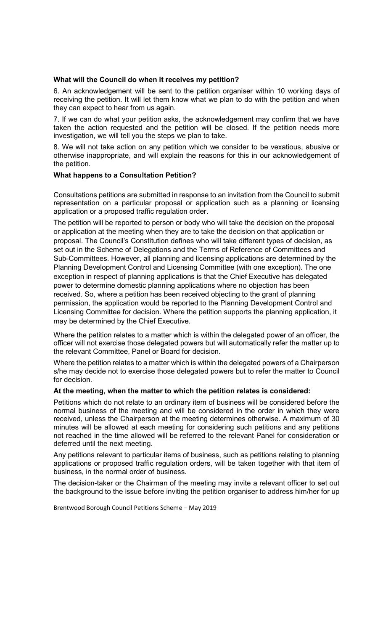### What will the Council do when it receives my petition?

6. An acknowledgement will be sent to the petition organiser within 10 working days of receiving the petition. It will let them know what we plan to do with the petition and when they can expect to hear from us again.

7. If we can do what your petition asks, the acknowledgement may confirm that we have taken the action requested and the petition will be closed. If the petition needs more investigation, we will tell you the steps we plan to take.

8. We will not take action on any petition which we consider to be vexatious, abusive or otherwise inappropriate, and will explain the reasons for this in our acknowledgement of the petition.

# What happens to a Consultation Petition?

Consultations petitions are submitted in response to an invitation from the Council to submit representation on a particular proposal or application such as a planning or licensing application or a proposed traffic regulation order.

The petition will be reported to person or body who will take the decision on the proposal or application at the meeting when they are to take the decision on that application or proposal. The Council's Constitution defines who will take different types of decision, as set out in the Scheme of Delegations and the Terms of Reference of Committees and Sub-Committees. However, all planning and licensing applications are determined by the Planning Development Control and Licensing Committee (with one exception). The one exception in respect of planning applications is that the Chief Executive has delegated power to determine domestic planning applications where no objection has been received. So, where a petition has been received objecting to the grant of planning permission, the application would be reported to the Planning Development Control and Licensing Committee for decision. Where the petition supports the planning application, it may be determined by the Chief Executive.

Where the petition relates to a matter which is within the delegated power of an officer, the officer will not exercise those delegated powers but will automatically refer the matter up to the relevant Committee, Panel or Board for decision.

Where the petition relates to a matter which is within the delegated powers of a Chairperson s/he may decide not to exercise those delegated powers but to refer the matter to Council for decision.

# At the meeting, when the matter to which the petition relates is considered:

Petitions which do not relate to an ordinary item of business will be considered before the normal business of the meeting and will be considered in the order in which they were received, unless the Chairperson at the meeting determines otherwise. A maximum of 30 minutes will be allowed at each meeting for considering such petitions and any petitions not reached in the time allowed will be referred to the relevant Panel for consideration or deferred until the next meeting.

Any petitions relevant to particular items of business, such as petitions relating to planning applications or proposed traffic regulation orders, will be taken together with that item of business, in the normal order of business.

The decision-taker or the Chairman of the meeting may invite a relevant officer to set out the background to the issue before inviting the petition organiser to address him/her for up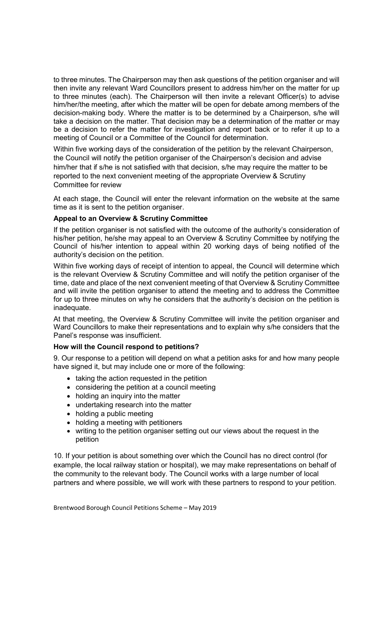to three minutes. The Chairperson may then ask questions of the petition organiser and will then invite any relevant Ward Councillors present to address him/her on the matter for up to three minutes (each). The Chairperson will then invite a relevant Officer(s) to advise him/her/the meeting, after which the matter will be open for debate among members of the decision-making body. Where the matter is to be determined by a Chairperson, s/he will take a decision on the matter. That decision may be a determination of the matter or may be a decision to refer the matter for investigation and report back or to refer it up to a meeting of Council or a Committee of the Council for determination.

Within five working days of the consideration of the petition by the relevant Chairperson, the Council will notify the petition organiser of the Chairperson's decision and advise him/her that if s/he is not satisfied with that decision, s/he may require the matter to be reported to the next convenient meeting of the appropriate Overview & Scrutiny Committee for review

At each stage, the Council will enter the relevant information on the website at the same time as it is sent to the petition organiser.

# Appeal to an Overview & Scrutiny Committee

If the petition organiser is not satisfied with the outcome of the authority's consideration of his/her petition, he/she may appeal to an Overview & Scrutiny Committee by notifying the Council of his/her intention to appeal within 20 working days of being notified of the authority's decision on the petition.

Within five working days of receipt of intention to appeal, the Council will determine which is the relevant Overview & Scrutiny Committee and will notify the petition organiser of the time, date and place of the next convenient meeting of that Overview & Scrutiny Committee and will invite the petition organiser to attend the meeting and to address the Committee for up to three minutes on why he considers that the authority's decision on the petition is inadequate.

At that meeting, the Overview & Scrutiny Committee will invite the petition organiser and Ward Councillors to make their representations and to explain why s/he considers that the Panel's response was insufficient.

# How will the Council respond to petitions?

9. Our response to a petition will depend on what a petition asks for and how many people have signed it, but may include one or more of the following:

- taking the action requested in the petition
- considering the petition at a council meeting
- holding an inquiry into the matter
- undertaking research into the matter
- holding a public meeting
- holding a meeting with petitioners
- writing to the petition organiser setting out our views about the request in the petition

10. If your petition is about something over which the Council has no direct control (for example, the local railway station or hospital), we may make representations on behalf of the community to the relevant body. The Council works with a large number of local partners and where possible, we will work with these partners to respond to your petition.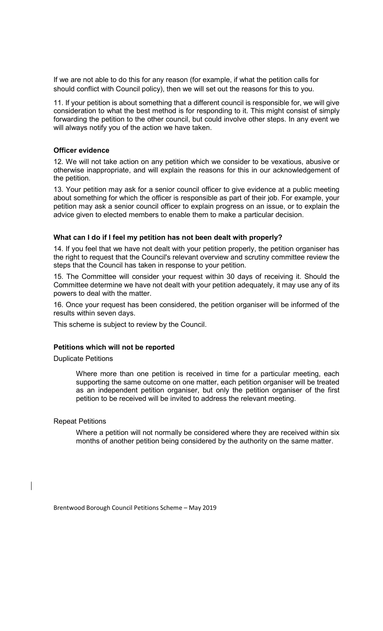If we are not able to do this for any reason (for example, if what the petition calls for should conflict with Council policy), then we will set out the reasons for this to you.

11. If your petition is about something that a different council is responsible for, we will give consideration to what the best method is for responding to it. This might consist of simply forwarding the petition to the other council, but could involve other steps. In any event we will always notify you of the action we have taken.

### Officer evidence

12. We will not take action on any petition which we consider to be vexatious, abusive or otherwise inappropriate, and will explain the reasons for this in our acknowledgement of the petition.

13. Your petition may ask for a senior council officer to give evidence at a public meeting about something for which the officer is responsible as part of their job. For example, your petition may ask a senior council officer to explain progress on an issue, or to explain the advice given to elected members to enable them to make a particular decision.

### What can I do if I feel my petition has not been dealt with properly?

14. If you feel that we have not dealt with your petition properly, the petition organiser has the right to request that the Council's relevant overview and scrutiny committee review the steps that the Council has taken in response to your petition.

15. The Committee will consider your request within 30 days of receiving it. Should the Committee determine we have not dealt with your petition adequately, it may use any of its powers to deal with the matter.

16. Once your request has been considered, the petition organiser will be informed of the results within seven days.

This scheme is subject to review by the Council.

# Petitions which will not be reported

Duplicate Petitions

Where more than one petition is received in time for a particular meeting, each supporting the same outcome on one matter, each petition organiser will be treated as an independent petition organiser, but only the petition organiser of the first petition to be received will be invited to address the relevant meeting.

Repeat Petitions

Where a petition will not normally be considered where they are received within six months of another petition being considered by the authority on the same matter.